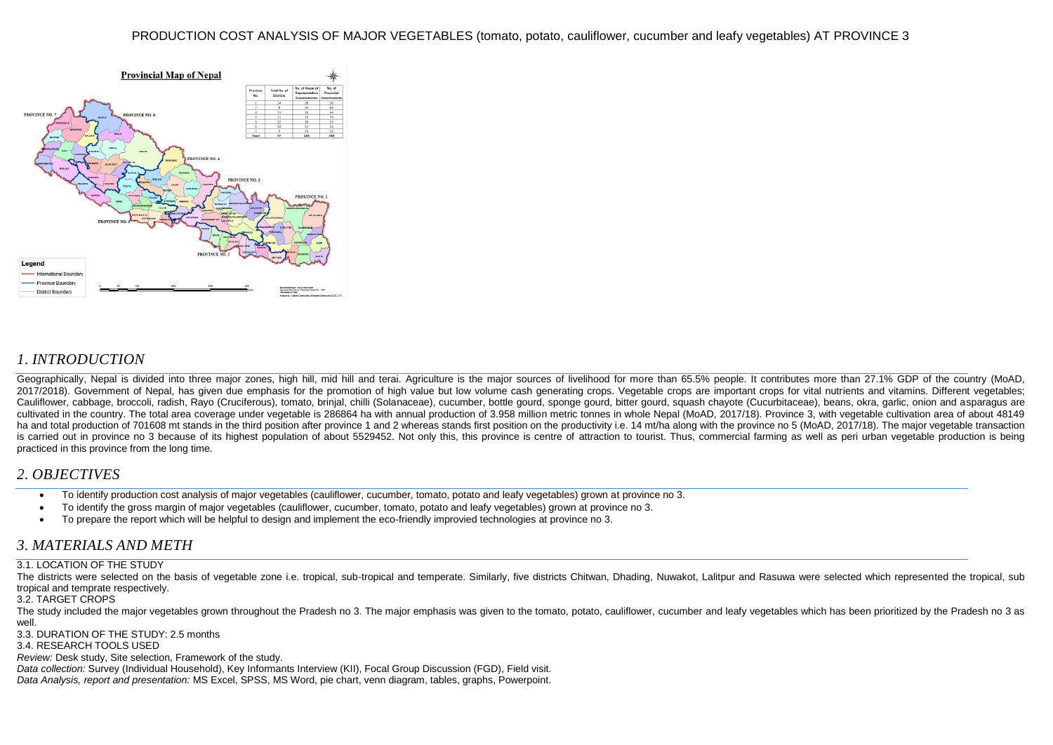

## *1. INTRODUCTION*

Geographically, Nepal is divided into three major zones, high hill, mid hill and terai. Agriculture is the major sources of livelihood for more than 65.5% people. It contributes more than 27.1% GDP of the country (MoAD, 2017/2018). Government of Nepal, has given due emphasis for the promotion of high value but low volume cash generating crops. Vegetable crops are important crops for vital nutrients and vitamins. Different vegetables; Cauliflower, cabbage, broccoli, radish, Rayo (Cruciferous), tomato, brinial, chilli (Solanaceae), cucumber, bottle gourd, sponge gourd, bitter gourd, squash chayote (Cucurbitaceae), beans, okra, garlic, onion and asparagus cultivated in the country. The total area coverage under vegetable is 286864 ha with annual production of 3.958 million metric tonnes in whole Nepal (MoAD, 2017/18). Province 3, with vegetable cultivation area of about 48149 ha and total production of 701608 mt stands in the third position after province 1 and 2 whereas stands first position on the productivity i.e. 14 mt/ha along with the province no 5 (MoAD, 2017/18). The major vegetable tra is carried out in province no 3 because of its highest population of about 5529452. Not only this, this province is centre of attraction to tourist. Thus, commercial farming as well as peri urban vegetable production is be practiced in this province from the long time.

### *2. OBJECTIVES*

- To identify production cost analysis of major vegetables (cauliflower, cucumber, tomato, potato and leafy vegetables) grown at province no 3.
- To identify the gross margin of major vegetables (cauliflower, cucumber, tomato, potato and leafy vegetables) grown at province no 3.
- To prepare the report which will be helpful to design and implement the eco-friendly improvied technologies at province no 3.

### *3. MATERIALS AND METH*

### 3.1. LOCATION OF THE STUDY

The districts were selected on the basis of vegetable zone i.e. tropical, sub-tropical and temperate. Similarly, five districts Chitwan, Dhading, Nuwakot, Lalitpur and Rasuwa were selected which represented the tropical, s tropical and temprate respectively.

#### 3.2. TARGET CROPS

The study included the major vegetables grown throughout the Pradesh no 3. The major emphasis was given to the tomato, potato, cauliflower, cucumber and leafy vegetables which has been prioritized by the Pradesh no 3 as well

3.3. DURATION OF THE STUDY: 2.5 months

3.4. RESEARCH TOOLS USED

*Review:* Desk study, Site selection, Framework of the study.

*Data collection:* Survey (Individual Household), Key Informants Interview (KII), Focal Group Discussion (FGD), Field visit. *Data Analysis, report and presentation:* MS Excel, SPSS, MS Word, pie chart, venn diagram, tables, graphs, Powerpoint.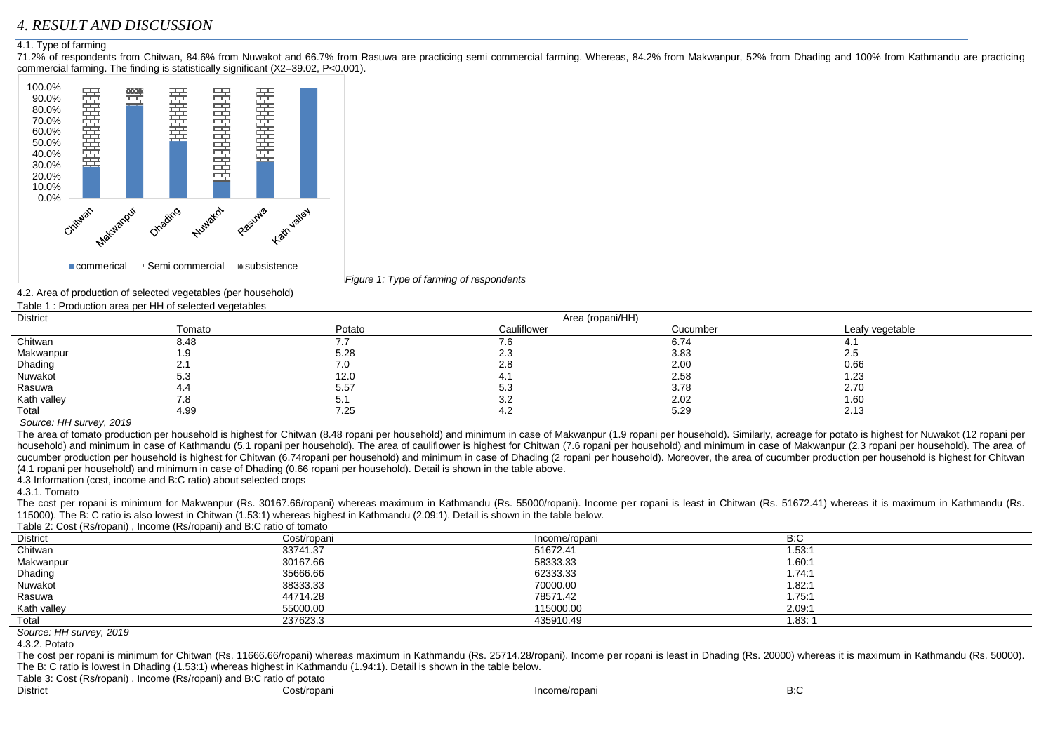# *4. RESULT AND DISCUSSION*

#### 4.1. Type of farming

71.2% of respondents from Chitwan, 84.6% from Nuwakot and 66.7% from Rasuwa are practicing semi commercial farming. Whereas, 84.2% from Makwanpur, 52% from Dhading and 100% from Kathmandu are practicing commercial farming. The finding is statistically significant (X2=39.02, P<0.001).



*Figure 1: Type of farming of respondents*

4.2. Area of production of selected vegetables (per household)

|--|

| <b>District</b> |        | Area (ropani/HH) |             |          |                 |  |  |  |
|-----------------|--------|------------------|-------------|----------|-----------------|--|--|--|
|                 | Tomato | Potato           | Cauliflower | Cucumber | Leafy vegetable |  |  |  |
| Chitwan         | 8.48   |                  | 7.6         | 6.74     | 4. I            |  |  |  |
| Makwanpur       | 1.9    | 5.28             | 2.3         | 3.83     | 2.5             |  |  |  |
| Dhading         | 2.1    | 7.0              | 2.8         | 2.00     | 0.66            |  |  |  |
| Nuwakot         | 5.3    | 12.0             | 4.1         | 2.58     | 1.23            |  |  |  |
| Rasuwa          | 4.4    | 5.57             | 5.3         | 3.78     | 2.70            |  |  |  |
| Kath valley     | 7.8    | 5.1              | 3.2         | 2.02     | 1.60            |  |  |  |
| Total           | 4.99   | 7.25             | 4.2         | 5.29     | 2.13            |  |  |  |

*Source: HH survey, 2019*

The area of tomato production per household is highest for Chitwan (8.48 ropani per household) and minimum in case of Makwanpur (1.9 ropani per household). Similarly, acreage for potato is highest for Nuwakot (12 ropani per household) and minimum in case of Kathmandu (5.1 ropani per household). The area of cauliflower is highest for Chitwan (7.6 ropani per household) and minimum in case of Makwanpur (2.3 ropani per household). The area of cucumber production per household is highest for Chitwan (6.74ropani per household) and minimum in case of Dhading (2 ropani per household). Moreover, the area of cucumber production per household is highest for Chitwan (4.1 ropani per household) and minimum in case of Dhading (0.66 ropani per household). Detail is shown in the table above.

4.3 Information (cost, income and B:C ratio) about selected crops

4.3.1. Tomato

The cost per ropani is minimum for Makwanpur (Rs. 30167.66/ropani) whereas maximum in Kathmandu (Rs. 55000/ropani). Income per ropani is least in Chitwan (Rs. 51672.41) whereas it is maximum in Kathmandu (Rs. 115000). The B: C ratio is also lowest in Chitwan (1.53:1) whereas highest in Kathmandu (2.09:1). Detail is shown in the table below.

Table 2: Cost (Rs/ropani) , Income (Rs/ropani) and B:C ratio of tomato

| Table 2. Obst (Rollopalli), illioonile (Rollopalli) and D.O Tatle of tomato |             |               |        |  |  |  |  |  |
|-----------------------------------------------------------------------------|-------------|---------------|--------|--|--|--|--|--|
| <b>District</b>                                                             | Cost/ropani | Income/ropani | B:C    |  |  |  |  |  |
| Chitwan                                                                     | 33741.37    | 51672.41      | 1.53:1 |  |  |  |  |  |
| Makwanpur                                                                   | 30167.66    | 58333.33      | 1.60:1 |  |  |  |  |  |
| Dhading                                                                     | 35666.66    | 62333.33      | 1.74:1 |  |  |  |  |  |
| Nuwakot                                                                     | 38333.33    | 70000.00      | 1.82:1 |  |  |  |  |  |
| Rasuwa                                                                      | 44714.28    | 78571.42      | 1.75:1 |  |  |  |  |  |
| Kath valley                                                                 | 55000.00    | 115000.00     | 2.09:1 |  |  |  |  |  |
| Total                                                                       | 237623.3    | 435910.49     | 1.83:  |  |  |  |  |  |

*Source: HH survey, 2019*

4.3.2. Potato

The cost per ropani is minimum for Chitwan (Rs. 11666.66/ropani) whereas maximum in Kathmandu (Rs. 25714.28/ropani). Income per ropani is least in Dhading (Rs. 20000) whereas it is maximum in Kathmandu (Rs. 50000). The B: C ratio is lowest in Dhading (1.53:1) whereas highest in Kathmandu (1.94:1). Detail is shown in the table below.

Table 3: Cost (Rs/ropani) , Income (Rs/ropani) and B:C ratio of potato

| <b>District</b> | Cost/ropani | Income/ropani | □… |  |
|-----------------|-------------|---------------|----|--|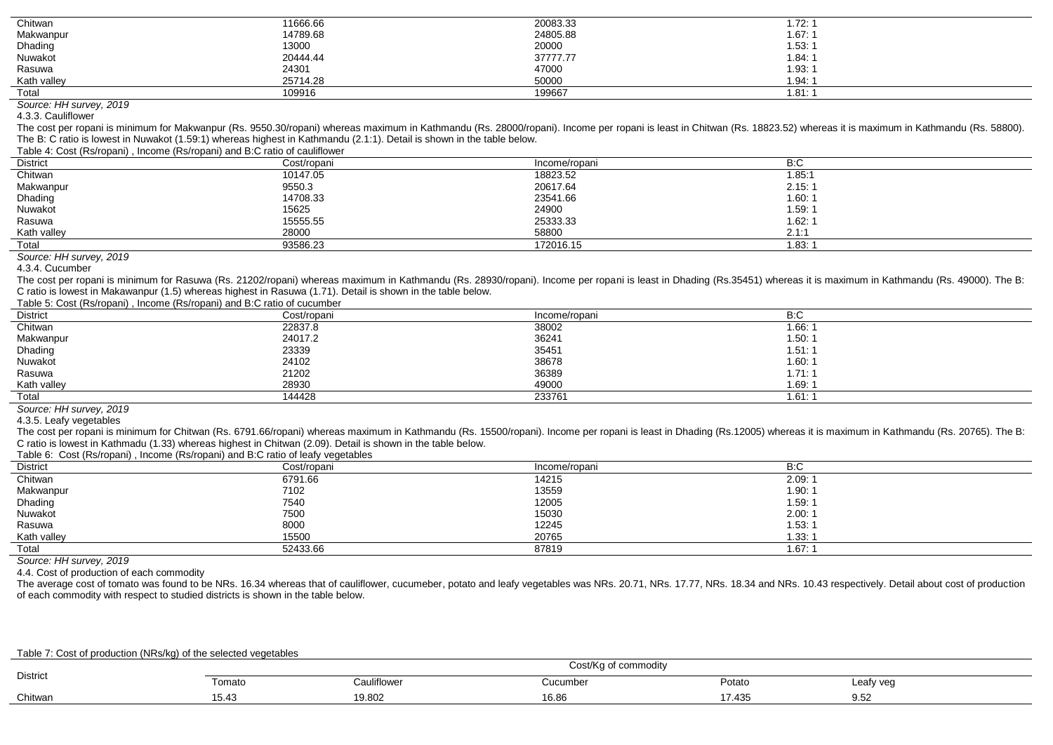| Chitwan     | 11666.66 | 20083.33 | 1.72: $\dot{}$    |
|-------------|----------|----------|-------------------|
| Makwanpur   | 14789.68 | 24805.88 | 1.67:1            |
| Dhading     | 13000    | 20000    | 1.53:1            |
| Nuwakot     | 20444.44 | 37777.77 | 1.84:1            |
| Rasuwa      | 24301    | 47000    | 1.93:1            |
| Kath valley | 25714.28 | 50000    | 1.94:1            |
| Total       | 109916   | 199667   | 1.81. $^{\prime}$ |

*Source: HH survey, 2019*

4.3.3. Cauliflower

The cost per ropani is minimum for Makwanpur (Rs. 9550.30/ropani) whereas maximum in Kathmandu (Rs. 28000/ropani). Income per ropani is least in Chitwan (Rs. 18823.52) whereas it is maximum in Kathmandu (Rs. 58800). The B: C ratio is lowest in Nuwakot (1.59:1) whereas highest in Kathmandu (2.1:1). Detail is shown in the table below.

Table 4: Cost (Rs/ropani) , Income (Rs/ropani) and B:C ratio of cauliflower

| <b>District</b> | Cost/ropani | Income/ropani | B:C    |  |  |  |  |
|-----------------|-------------|---------------|--------|--|--|--|--|
| Chitwan         | 10147.05    | 18823.52      | 1.85:1 |  |  |  |  |
| Makwanpur       | 9550.3      | 20617.64      | 2.15:1 |  |  |  |  |
| Dhading         | 14708.33    | 23541.66      | 1.60.7 |  |  |  |  |
| Nuwakot         | 15625       | 24900         | 1.59.7 |  |  |  |  |
| Rasuwa          | 15555.55    | 25333.33      | 1.62:  |  |  |  |  |
| Kath valley     | 28000       | 58800         | 2.1:1  |  |  |  |  |
| Total           | 93586.23    | 172016.15     | .83:   |  |  |  |  |

*Source: HH survey, 2019*

4.3.4. Cucumber

The cost per ropani is minimum for Rasuwa (Rs. 21202/ropani) whereas maximum in Kathmandu (Rs. 28930/ropani). Income per ropani is least in Dhading (Rs.35451) whereas it is maximum in Kathmandu (Rs. 49000). The B: C ratio is lowest in Makawanpur (1.5) whereas highest in Rasuwa (1.71). Detail is shown in the table below.

#### Table 5: Cost (Rs/ropani) , Income (Rs/ropani) and B:C ratio of cucumber

| District    | Cost/ropani | Income/ropani | B:C    |
|-------------|-------------|---------------|--------|
| Chitwan     | 22837.8     | 38002         | 1.66:  |
| Makwanpur   | 24017.2     | 36241         | 1.50.7 |
| Dhading     | 23339       | 35451         | 1.51:1 |
| Nuwakot     | 24102       | 38678         | 1.60:1 |
| Rasuwa      | 21202       | 36389         | 1.71:1 |
| Kath valley | 28930       | 49000         | 1.69.7 |
| Total       | 144428      | 233761        | 1.61.  |

*Source: HH survey, 2019*

4.3.5. Leafy vegetables

The cost per ropani is minimum for Chitwan (Rs. 6791.66/ropani) whereas maximum in Kathmandu (Rs. 15500/ropani). Income per ropani is least in Dhading (Rs.12005) whereas it is maximum in Kathmandu (Rs. 20765). The B: C ratio is lowest in Kathmadu (1.33) whereas highest in Chitwan (2.09). Detail is shown in the table below.

Table 6: Cost (Rs/ropani) , Income (Rs/ropani) and B:C ratio of leafy vegetables

| <b>District</b>    | Cost/ropani | Income/ropani | B:C             |
|--------------------|-------------|---------------|-----------------|
| Chitwan            | 6791.66     | 14215         | 2.09:1          |
| Makwanpur          | 7102        | 13559         | 1.90:1          |
|                    | 7540        | 12005         | 1.59:1          |
| Dhading<br>Nuwakot | 7500        | 15030         | 2.00:1          |
| Rasuwa             | 8000        | 12245         | 1.53:1          |
| Kath valley        | 15500       | 20765         | 1.33:1          |
| Total              | 52433.66    | 87819         | $1.67:^{\circ}$ |

*Source: HH survey, 2019*

4.4. Cost of production of each commodity

The average cost of tomato was found to be NRs. 16.34 whereas that of cauliflower, cucumeber, potato and leafy vegetables was NRs. 20.71, NRs. 17.77, NRs. 18.34 and NRs. 10.43 respectively. Detail about cost of production of each commodity with respect to studied districts is shown in the table below.

#### Table 7: Cost of production (NRs/kg) of the selected vegetables

| <b>District</b> | * commodity<br>$\sim$<br>m10<br><b>JUJI</b> |                                    |                         |                        |            |  |  |
|-----------------|---------------------------------------------|------------------------------------|-------------------------|------------------------|------------|--|--|
|                 | omato                                       | $\ddot{\phantom{0}}$<br>Cauliflowe | Cucumber                | Potato                 | Leafy vec  |  |  |
| Chitwan         | 10.43                                       | 10.00<br>∖ສ.o∪∠                    | $\overline{A}$<br>16.86 | $\rightarrow$<br>1.4.3 | QE<br>J.JZ |  |  |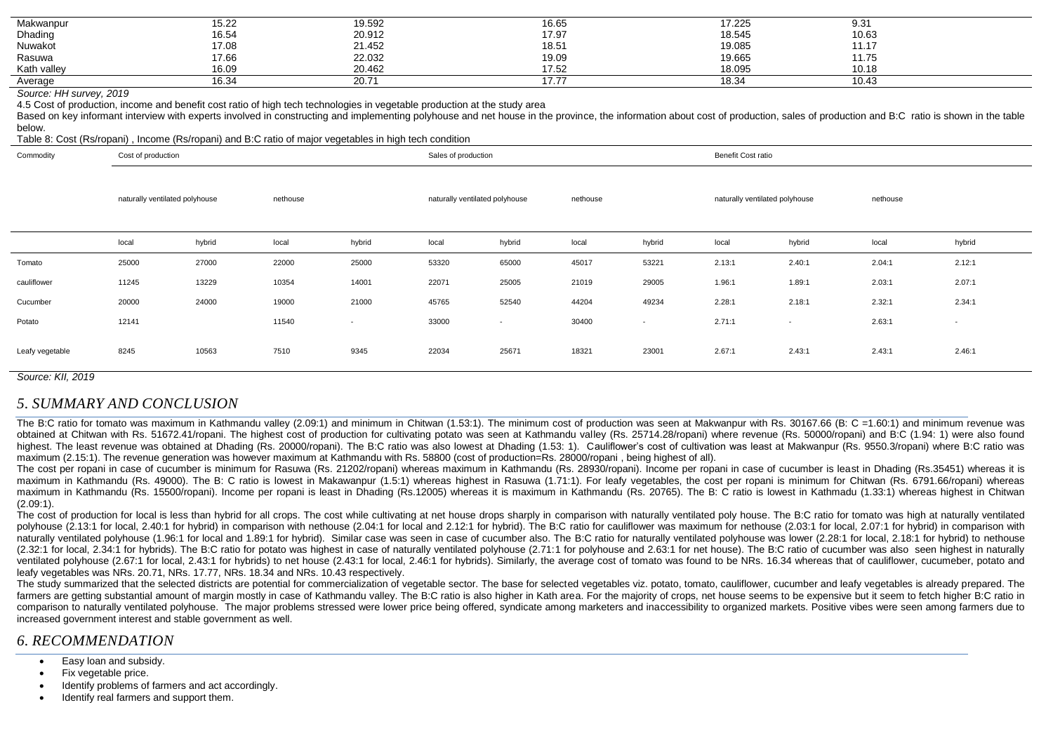| Makwanpur   | 5.22  |                  | 16.65                    | 17.225 | 9.31  |
|-------------|-------|------------------|--------------------------|--------|-------|
| Dhading     | 16.54 | 19.592<br>20.912 | 17.97                    | 18.545 | 10.63 |
| Nuwakot     | 17.08 | 21.452           | 18.51                    | 19.085 | 11.17 |
| Rasuwa      | 17.66 | 22.032           | 19.09                    | 19.665 | 11.75 |
| Kath valley | 16.09 | 20.462           | 17.52                    | 18.095 | 10.18 |
| Average     | 16.34 | 20.71            | ---<br>$\iota$ . $\iota$ | 18.34  | 10.43 |

#### *Source: HH survey, 2019*

4.5 Cost of production, income and benefit cost ratio of high tech technologies in vegetable production at the study area

Based on key informant interview with experts involved in constructing and implementing polyhouse and net house in the province, the information about cost of production, sales of production and B:C ratio is shown in the t below.

#### Table 8: Cost (Rs/ropani) , Income (Rs/ropani) and B:C ratio of major vegetables in high tech condition

| Commodity       | Cost of production             |        |          |                          | Sales of production            |                          |          | Benefit Cost ratio       |                                |                          |          |        |
|-----------------|--------------------------------|--------|----------|--------------------------|--------------------------------|--------------------------|----------|--------------------------|--------------------------------|--------------------------|----------|--------|
|                 | naturally ventilated polyhouse |        | nethouse |                          | naturally ventilated polyhouse |                          | nethouse |                          | naturally ventilated polyhouse |                          | nethouse |        |
|                 | local                          | hybrid | local    | hybrid                   | local                          | hybrid                   | local    | hybrid                   | local                          | hybrid                   | local    | hybrid |
| Tomato          | 25000                          | 27000  | 22000    | 25000                    | 53320                          | 65000                    | 45017    | 53221                    | 2.13:1                         | 2.40:1                   | 2.04:1   | 2.12:1 |
| cauliflower     | 11245                          | 13229  | 10354    | 14001                    | 22071                          | 25005                    | 21019    | 29005                    | 1.96:1                         | 1.89:1                   | 2.03:1   | 2.07:1 |
| Cucumber        | 20000                          | 24000  | 19000    | 21000                    | 45765                          | 52540                    | 44204    | 49234                    | 2.28:1                         | 2.18:1                   | 2.32:1   | 2.34:1 |
| Potato          | 12141                          |        | 11540    | $\overline{\phantom{a}}$ | 33000                          | $\overline{\phantom{0}}$ | 30400    | $\overline{\phantom{a}}$ | 2.71:1                         | $\overline{\phantom{a}}$ | 2.63:1   | $\sim$ |
| Leafy vegetable | 8245                           | 10563  | 7510     | 9345                     | 22034                          | 25671                    | 18321    | 23001                    | 2.67:1                         | 2.43:1                   | 2.43:1   | 2.46:1 |

*Source: KII, 2019*

### *5. SUMMARY AND CONCLUSION*

The B:C ratio for tomato was maximum in Kathmandu valley (2.09:1) and minimum in Chitwan (1.53:1). The minimum cost of production was seen at Makwanpur with Rs. 30167.66 (B: C = 1.60:1) and minimum revenue was obtained at Chitwan with Rs. 51672.41/ropani. The highest cost of production for cultivating potato was seen at Kathmandu valley (Rs. 25714.28/ropani) where revenue (Rs. 50000/ropani) and B:C (1.94: 1) were also found highest. The least revenue was obtained at Dhading (Rs. 20000/ropani). The B:C ratio was also lowest at Dhading (1.53: 1). Cauliflower's cost of cultivation was least at Makwanpur (Rs. 9550.3/ropani) where B:C ratio was maximum (2.15:1). The revenue generation was however maximum at Kathmandu with Rs. 58800 (cost of production=Rs, 28000/ropani, being highest of all).

The cost per ropani in case of cucumber is minimum for Rasuwa (Rs. 21202/ropani) whereas maximum in Kathmandu (Rs. 28930/ropani). Income per ropani in case of cucumber is least in Dhading (Rs.35451) whereas it is maximum in Kathmandu (Rs. 49000). The B: C ratio is lowest in Makawanpur (1.5:1) whereas highest in Rasuwa (1.71:1). For leafy vegetables, the cost per ropani is minimum for Chitwan (Rs. 6791.66/ropani) whereas maximum in Kathmandu (Rs. 15500/ropani). Income per ropani is least in Dhading (Rs.12005) whereas it is maximum in Kathmandu (Rs. 20765). The B: C ratio is lowest in Kathmadu (1.33:1) whereas highest in Chitwan (2.09:1).

The cost of production for local is less than hybrid for all crops. The cost while cultivating at net house drops sharply in comparison with naturally ventilated poly house. The B:C ratio for tomato was high at naturally v polyhouse (2.13:1 for local, 2.40:1 for hybrid) in comparison with nethouse (2.04:1 for local and 2.12:1 for hybrid). The B:C ratio for cauliflower was maximum for nethouse (2.03:1 for local, 2.07:1 for hybrid) in comparis naturally ventilated polyhouse (1.96:1 for local and 1.89:1 for hybrid). Similar case was seen in case of cucumber also. The B:C ratio for naturally ventilated polyhouse was lower (2.28:1 for local, 2.18:1 for hybrid) to n (2.32:1 for local, 2.34:1 for hybrids). The B:C ratio for potato was highest in case of naturally ventilated polyhouse (2.71:1 for polyhouse and 2.63:1 for net house). The B:C ratio of cucumber was also seen highest in nat ventilated polyhouse (2.67:1 for local, 2.43:1 for hybrids) to net house (2.43:1 for local, 2.46:1 for hybrids), Similarly, the average cost of tomato was found to be NRs. 16.34 whereas that of cauliflower, cucumeber, pota leafy vegetables was NRs. 20.71, NRs. 17.77, NRs. 18.34 and NRs. 10.43 respectively.

The study summarized that the selected districts are potential for commercialization of yegetable sector. The base for selected yegetables yiz, potato, tomato, cauliflower, cucumber and leafy yegetables is already prepared farmers are getting substantial amount of margin mostly in case of Kathmandu valley. The B:C ratio is also higher in Kath area. For the majority of crops, net house seems to be expensive but it seem to fetch higher B:C rat comparison to naturally ventilated polyhouse. The major problems stressed were lower price being offered, syndicate among marketers and inaccessibility to organized markets. Positive vibes were seen among farmers due to increased government interest and stable government as well.

### *6. RECOMMENDATION*

- Easy loan and subsidy.
- Fix vegetable price.
- Identify problems of farmers and act accordingly.
- Identify real farmers and support them.